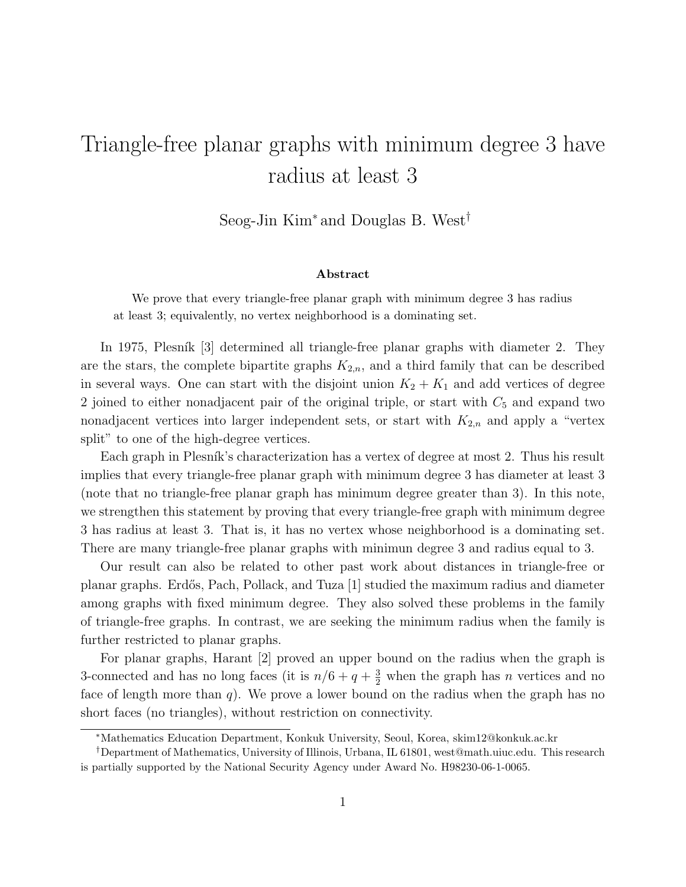## Triangle-free planar graphs with minimum degree 3 have radius at least 3

Seog-Jin Kim<sup>∗</sup> and Douglas B. West†

## Abstract

We prove that every triangle-free planar graph with minimum degree 3 has radius at least 3; equivalently, no vertex neighborhood is a dominating set.

In 1975, Plesník [3] determined all triangle-free planar graphs with diameter 2. They are the stars, the complete bipartite graphs  $K_{2,n}$ , and a third family that can be described in several ways. One can start with the disjoint union  $K_2 + K_1$  and add vertices of degree 2 joined to either nonadjacent pair of the original triple, or start with  $C_5$  and expand two nonadjacent vertices into larger independent sets, or start with  $K_{2,n}$  and apply a "vertex split" to one of the high-degree vertices.

Each graph in Plesník's characterization has a vertex of degree at most 2. Thus his result implies that every triangle-free planar graph with minimum degree 3 has diameter at least 3 (note that no triangle-free planar graph has minimum degree greater than 3). In this note, we strengthen this statement by proving that every triangle-free graph with minimum degree 3 has radius at least 3. That is, it has no vertex whose neighborhood is a dominating set. There are many triangle-free planar graphs with minimun degree 3 and radius equal to 3.

Our result can also be related to other past work about distances in triangle-free or planar graphs. Erd˝os, Pach, Pollack, and Tuza [1] studied the maximum radius and diameter among graphs with fixed minimum degree. They also solved these problems in the family of triangle-free graphs. In contrast, we are seeking the minimum radius when the family is further restricted to planar graphs.

For planar graphs, Harant [2] proved an upper bound on the radius when the graph is 3-connected and has no long faces (it is  $n/6 + q + \frac{3}{2}$  when the graph has n vertices and no face of length more than  $q$ ). We prove a lower bound on the radius when the graph has no short faces (no triangles), without restriction on connectivity.

<sup>∗</sup>Mathematics Education Department, Konkuk University, Seoul, Korea, skim12@konkuk.ac.kr

<sup>†</sup>Department of Mathematics, University of Illinois, Urbana, IL 61801, west@math.uiuc.edu. This research is partially supported by the National Security Agency under Award No. H98230-06-1-0065.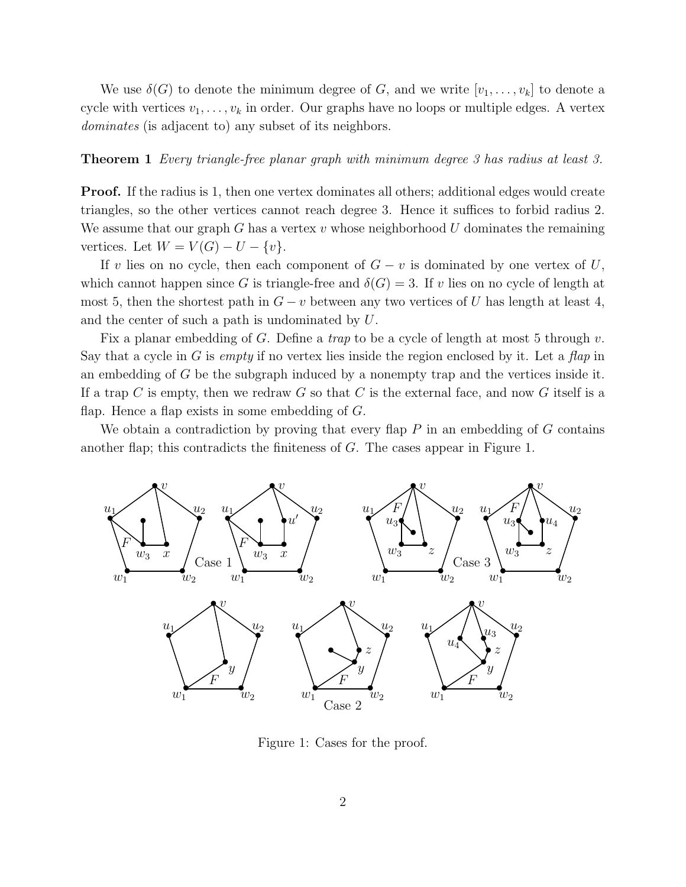We use  $\delta(G)$  to denote the minimum degree of G, and we write  $[v_1, \ldots, v_k]$  to denote a cycle with vertices  $v_1, \ldots, v_k$  in order. Our graphs have no loops or multiple edges. A vertex dominates (is adjacent to) any subset of its neighbors.

## **Theorem 1** Every triangle-free planar graph with minimum degree 3 has radius at least 3.

**Proof.** If the radius is 1, then one vertex dominates all others; additional edges would create triangles, so the other vertices cannot reach degree 3. Hence it suffices to forbid radius 2. We assume that our graph G has a vertex  $v$  whose neighborhood  $U$  dominates the remaining vertices. Let  $W = V(G) - U - \{v\}.$ 

If v lies on no cycle, then each component of  $G - v$  is dominated by one vertex of U, which cannot happen since G is triangle-free and  $\delta(G) = 3$ . If v lies on no cycle of length at most 5, then the shortest path in  $G - v$  between any two vertices of U has length at least 4, and the center of such a path is undominated by U.

Fix a planar embedding of G. Define a *trap* to be a cycle of length at most 5 through  $v$ . Say that a cycle in G is *empty* if no vertex lies inside the region enclosed by it. Let a *flap* in an embedding of G be the subgraph induced by a nonempty trap and the vertices inside it. If a trap C is empty, then we redraw G so that C is the external face, and now G itself is a flap. Hence a flap exists in some embedding of  $G$ .

We obtain a contradiction by proving that every flap  $P$  in an embedding of  $G$  contains another flap; this contradicts the finiteness of G. The cases appear in Figure 1.



Figure 1: Cases for the proof.